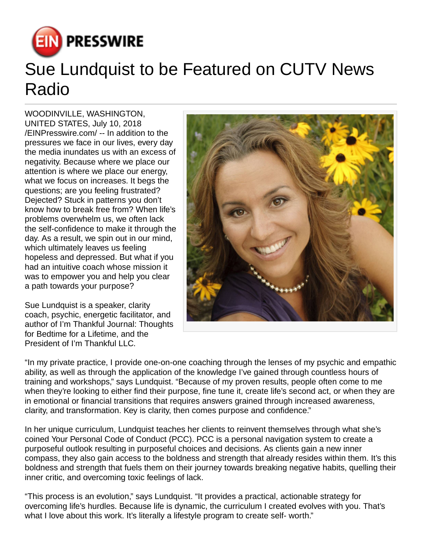

## Sue Lundquist to be Featured on CUTV News Radio

WOODINVILLE, WASHINGTON, UNITED STATES, July 10, 2018 [/EINPresswire.com](http://www.einpresswire.com)/ -- In addition to the pressures we face in our lives, every day the media inundates us with an excess of negativity. Because where we place our attention is where we place our energy, what we focus on increases. It begs the questions; are you feeling frustrated? Dejected? Stuck in patterns you don't know how to break free from? When life's problems overwhelm us, we often lack the self-confidence to make it through the day. As a result, we spin out in our mind, which ultimately leaves us feeling hopeless and depressed. But what if you had an intuitive coach whose mission it was to empower you and help you clear a path towards your purpose?

Sue Lundquist is a speaker, clarity coach, psychic, energetic facilitator, and author of I'm Thankful Journal: Thoughts for Bedtime for a Lifetime, and the President of I'm Thankful LLC.



"In my private practice, I provide one-on-one coaching through the lenses of my psychic and empathic ability, as well as through the application of the knowledge I've gained through countless hours of training and workshops," says Lundquist. "Because of my proven results, people often come to me when they're looking to either find their purpose, fine tune it, create life's second act, or when they are in emotional or financial transitions that requires answers grained through increased awareness, clarity, and transformation. Key is clarity, then comes purpose and confidence."

In her unique curriculum, Lundquist teaches her clients to reinvent themselves through what she's coined Your Personal Code of Conduct (PCC). PCC is a personal navigation system to create a purposeful outlook resulting in purposeful choices and decisions. As clients gain a new inner compass, they also gain access to the boldness and strength that already resides within them. It's this boldness and strength that fuels them on their journey towards breaking negative habits, quelling their inner critic, and overcoming toxic feelings of lack.

"This process is an evolution," says Lundquist. "It provides a practical, actionable strategy for overcoming life's hurdles. Because life is dynamic, the curriculum I created evolves with you. That's what I love about this work. It's literally a lifestyle program to create self- worth."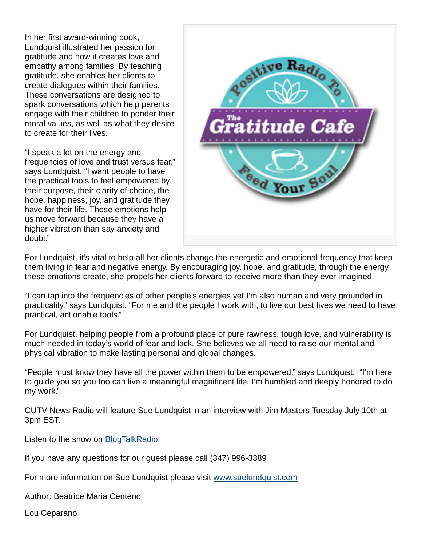In her first award-winning book, Lundquist illustrated her passion for gratitude and how it creates love and empathy among families. By teaching gratitude, she enables her clients to create dialogues within their families. These conversations are designed to spark conversations which help parents engage with their children to ponder their moral values, as well as what they desire to create for their lives.

"I speak a lot on the energy and frequencies of love and trust versus fear," says Lundquist. "I want people to have the practical tools to feel empowered by their purpose, their clarity of choice, the hope, happiness, joy, and gratitude they have for their life. These emotions help us move forward because they have a higher vibration than say anxiety and doubt."



For Lundquist, it's vital to help all her clients change the energetic and emotional frequency that keep them living in fear and negative energy. By encouraging joy, hope, and gratitude, through the energy these emotions create, she propels her clients forward to receive more than they ever imagined.

"I can tap into the frequencies of other people's energies yet I'm also human and very grounded in practicality," says Lundquist. "For me and the people I work with, to live our best lives we need to have practical, actionable tools."

For Lundquist, helping people from a profound place of pure rawness, tough love, and vulnerability is much needed in today's world of fear and lack. She believes we all need to raise our mental and physical vibration to make lasting personal and global changes.

"People must know they have all the power within them to be empowered," says Lundquist. "I'm here to guide you so you too can live a meaningful magnificent life. I'm humbled and deeply honored to do my work."

CUTV News Radio will feature Sue Lundquist in an interview with Jim Masters Tuesday July 10th at 3pm EST.

Listen to the show on **[BlogTalkRadio](http://www.blogtalkradio.com/cutvnewsradio/2018/07/10/cutv-news-radio-spotlights-sue-lundquist)**.

If you have any questions for our guest please call (347) 996-3389

For more information on Sue Lundquist please visit [www.suelundquist.com](http://www.suelundquist.com)

Author: Beatrice Maria Centeno

Lou Ceparano